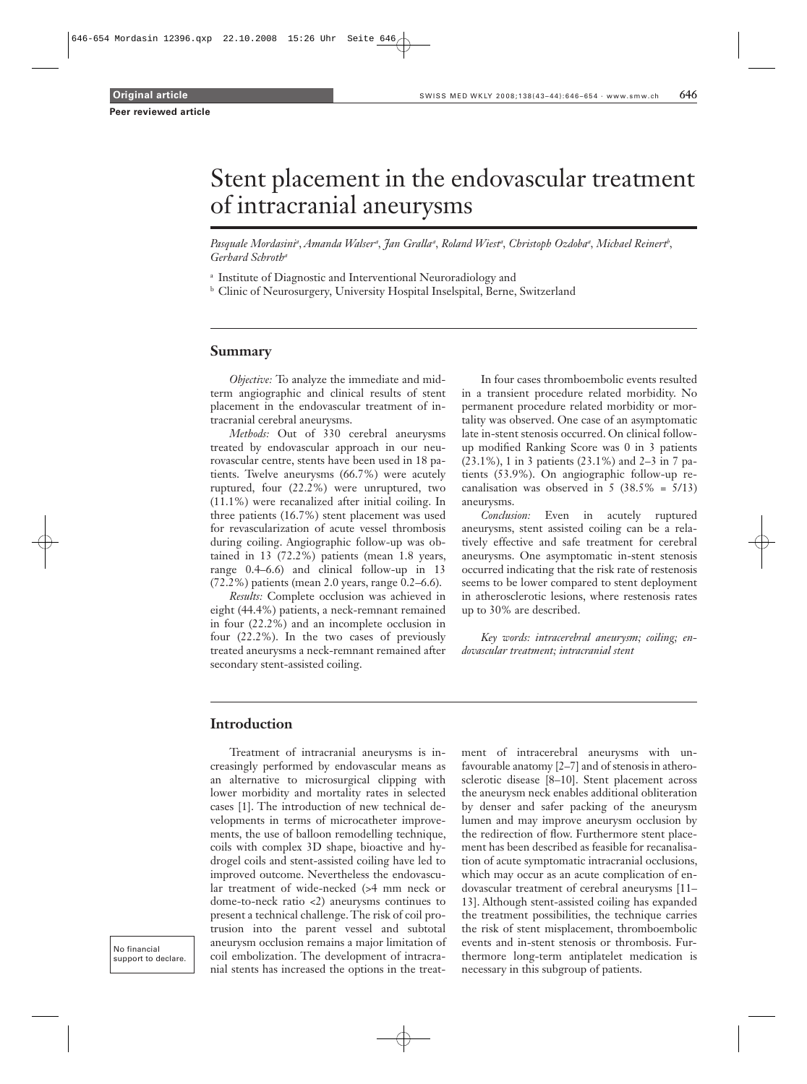# Stent placement in the endovascular treatment of intracranial aneurysms

Pasquale Mordasiniª, Amanda Walserª, Jan Grallaª, Roland Wiestª, Christoph Ozdobaª, Michael Reinert<sup>h</sup>, *Gerhard Schrotha*

<sup>a</sup> Institute of Diagnostic and Interventional Neuroradiology and

<sup>b</sup> Clinic of Neurosurgery, University Hospital Inselspital, Berne, Switzerland

# **Summary**

*Objective:* To analyze the immediate and midterm angiographic and clinical results of stent placement in the endovascular treatment of intracranial cerebral aneurysms.

*Methods:* Out of 330 cerebral aneurysms treated by endovascular approach in our neurovascular centre, stents have been used in 18 patients. Twelve aneurysms (66.7%) were acutely ruptured, four (22.2%) were unruptured, two (11.1%) were recanalized after initial coiling. In three patients (16.7%) stent placement was used for revascularization of acute vessel thrombosis during coiling. Angiographic follow-up was obtained in 13 (72.2%) patients (mean 1.8 years, range 0.4–6.6) and clinical follow-up in 13 (72.2%) patients (mean 2.0 years, range 0.2–6.6).

*Results:* Complete occlusion was achieved in eight (44.4%) patients, a neck-remnant remained in four (22.2%) and an incomplete occlusion in four (22.2%). In the two cases of previously treated aneurysms a neck-remnant remained after secondary stent-assisted coiling.

In four cases thromboembolic events resulted in a transient procedure related morbidity. No permanent procedure related morbidity or mortality was observed. One case of an asymptomatic late in-stent stenosis occurred. On clinical followup modified Ranking Score was 0 in 3 patients (23.1%), 1 in 3 patients (23.1%) and 2–3 in 7 patients (53.9%). On angiographic follow-up recanalisation was observed in  $5$  (38.5% =  $5/13$ ) aneurysms.

*Conclusion:* Even in acutely ruptured aneurysms, stent assisted coiling can be a relatively effective and safe treatment for cerebral aneurysms. One asymptomatic in-stent stenosis occurred indicating that the risk rate of restenosis seems to be lower compared to stent deployment in atherosclerotic lesions, where restenosis rates up to 30% are described.

*Key words: intracerebral aneurysm; coiling; endovascular treatment; intracranial stent*

# **Introduction**

Treatment of intracranial aneurysms is increasingly performed by endovascular means as an alternative to microsurgical clipping with lower morbidity and mortality rates in selected cases [1]. The introduction of new technical developments in terms of microcatheter improvements, the use of balloon remodelling technique, coils with complex 3D shape, bioactive and hydrogel coils and stent-assisted coiling have led to improved outcome. Nevertheless the endovascular treatment of wide-necked (>4 mm neck or dome-to-neck ratio <2) aneurysms continues to present a technical challenge. The risk of coil protrusion into the parent vessel and subtotal aneurysm occlusion remains a major limitation of coil embolization. The development of intracranial stents has increased the options in the treatment of intracerebral aneurysms with unfavourable anatomy [2–7] and of stenosis in atherosclerotic disease [8–10]. Stent placement across the aneurysm neck enables additional obliteration by denser and safer packing of the aneurysm lumen and may improve aneurysm occlusion by the redirection of flow. Furthermore stent placement has been described as feasible for recanalisation of acute symptomatic intracranial occlusions, which may occur as an acute complication of endovascular treatment of cerebral aneurysms [11– 13]. Although stent-assisted coiling has expanded the treatment possibilities, the technique carries the risk of stent misplacement, thromboembolic events and in-stent stenosis or thrombosis. Furthermore long-term antiplatelet medication is necessary in this subgroup of patients.

No financial support to declare.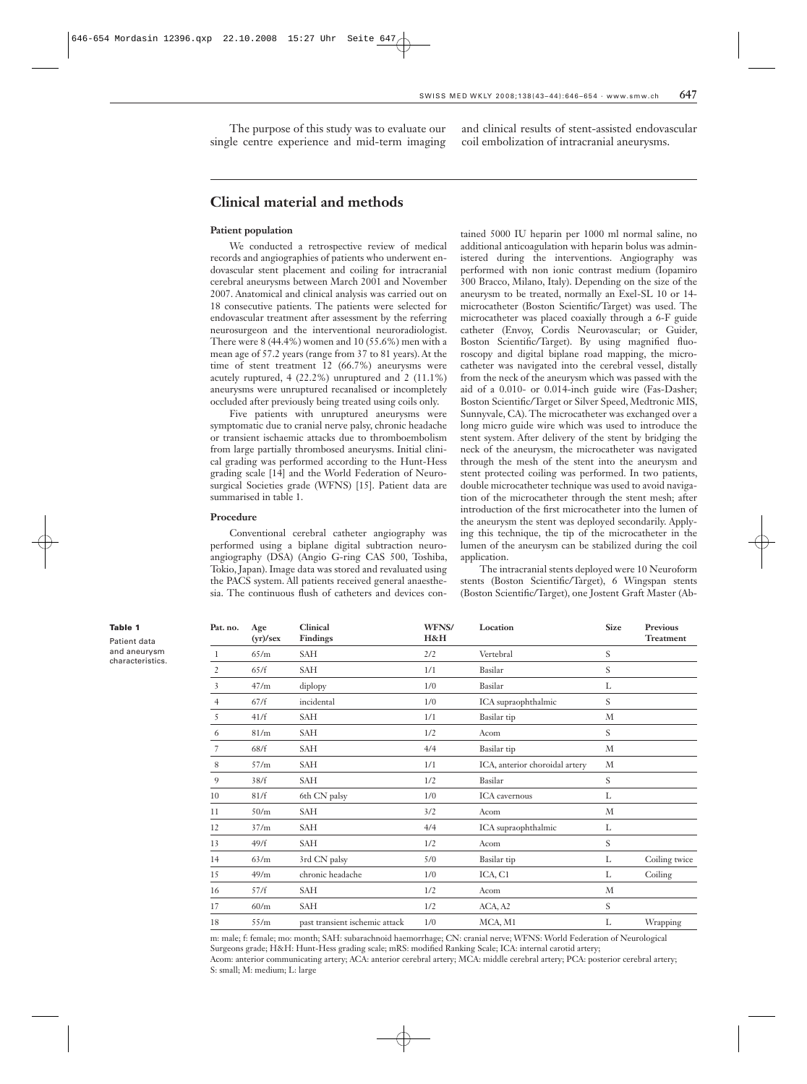The purpose of this study was to evaluate our single centre experience and mid-term imaging and clinical results of stent-assisted endovascular coil embolization of intracranial aneurysms.

# **Clinical material and methods**

## **Patient population**

We conducted a retrospective review of medical records and angiographies of patients who underwent endovascular stent placement and coiling for intracranial cerebral aneurysms between March 2001 and November 2007. Anatomical and clinical analysis was carried out on 18 consecutive patients. The patients were selected for endovascular treatment after assessment by the referring neurosurgeon and the interventional neuroradiologist. There were 8 (44.4%) women and 10 (55.6%) men with a mean age of 57.2 years (range from 37 to 81 years). At the time of stent treatment 12 (66.7%) aneurysms were acutely ruptured, 4 (22.2%) unruptured and 2 (11.1%) aneurysms were unruptured recanalised or incompletely occluded after previously being treated using coils only.

Five patients with unruptured aneurysms were symptomatic due to cranial nerve palsy, chronic headache or transient ischaemic attacks due to thromboembolism from large partially thrombosed aneurysms. Initial clinical grading was performed according to the Hunt-Hess grading scale [14] and the World Federation of Neurosurgical Societies grade (WFNS) [15]. Patient data are summarised in table 1.

# **Procedure**

Conventional cerebral catheter angiography was performed using a biplane digital subtraction neuroangiography (DSA) (Angio G-ring CAS 500, Toshiba, Tokio, Japan). Image data was stored and revaluated using the PACS system. All patients received general anaesthesia. The continuous flush of catheters and devices con-

tained 5000 IU heparin per 1000 ml normal saline, no additional anticoagulation with heparin bolus was administered during the interventions. Angiography was performed with non ionic contrast medium (Iopamiro 300 Bracco, Milano, Italy). Depending on the size of the aneurysm to be treated, normally an Exel-SL 10 or 14 microcatheter (Boston Scientific/Target) was used. The microcatheter was placed coaxially through a 6-F guide catheter (Envoy, Cordis Neurovascular; or Guider, Boston Scientific/Target). By using magnified fluoroscopy and digital biplane road mapping, the microcatheter was navigated into the cerebral vessel, distally from the neck of the aneurysm which was passed with the aid of a 0.010- or 0.014-inch guide wire (Fas-Dasher; Boston Scientific/Target or Silver Speed, Medtronic MIS, Sunnyvale, CA). The microcatheter was exchanged over a long micro guide wire which was used to introduce the stent system. After delivery of the stent by bridging the neck of the aneurysm, the microcatheter was navigated through the mesh of the stent into the aneurysm and stent protected coiling was performed. In two patients, double microcatheter technique was used to avoid navigation of the microcatheter through the stent mesh; after introduction of the first microcatheter into the lumen of the aneurysm the stent was deployed secondarily. Applying this technique, the tip of the microcatheter in the lumen of the aneurysm can be stabilized during the coil application.

The intracranial stents deployed were 10 Neuroform stents (Boston Scientific/Target), 6 Wingspan stents (Boston Scientific/Target), one Jostent Graft Master (Ab-

| . . | Table<br>. .<br>۰.<br>× |  |  |
|-----|-------------------------|--|--|
|     |                         |  |  |

Patient data and aneurysm characteristics.

| Pat. no. | Age<br>(yr)/sex | <b>Clinical</b><br><b>Findings</b> | WFNS/<br>H&H | Location                       | <b>Size</b> | Previous<br>$\operatorname{\mathsf{Tr}}\nolimits$ |
|----------|-----------------|------------------------------------|--------------|--------------------------------|-------------|---------------------------------------------------|
| 1        | 65/m            | SAH                                | 2/2          | Vertebral                      | S           |                                                   |
| 2        | 65/f            | SAH                                | 1/1          | Basilar                        | S           |                                                   |
| 3        | 47/m            | diplopy                            | 1/0          | Basilar                        | L           |                                                   |
| 4        | 67/f            | incidental                         | 1/0          | ICA supraophthalmic            | S           |                                                   |
| 5        | 41/f            | SAH                                | 1/1          | Basilar tip                    | M           |                                                   |
| 6        | 81/m            | <b>SAH</b>                         | 1/2          | Acom                           | S           |                                                   |
| 7        | 68/f            | SAH                                | 4/4          | Basilar tip                    | M           |                                                   |
| 8        | 57/m            | <b>SAH</b>                         | 1/1          | ICA, anterior choroidal artery | M           |                                                   |
| 9        | 38/f            | <b>SAH</b>                         | 1/2          | Basilar                        | S           |                                                   |
| 10       | 81/f            | 6th CN palsy                       | 1/0          | <b>ICA</b> cavernous           | L           |                                                   |
| 11       | 50/m            | <b>SAH</b>                         | 3/2          | Acom                           | M           |                                                   |
| 12       | 37/m            | SAH                                | 4/4          | ICA supraophthalmic            | L           |                                                   |
| 13       | 49/f            | SAH                                | 1/2          | Acom                           | S           |                                                   |
| 14       | 63/m            | 3rd CN palsy                       | 5/0          | Basilar tip                    | L           | Coiling twice                                     |
| 15       | 49/m            | chronic headache                   | 1/0          | ICA, C1                        | L           | Coiling                                           |
| 16       | 57/f            | <b>SAH</b>                         | 1/2          | Acom                           | M           |                                                   |
| 17       | 60/m            | SAH                                | 1/2          | ACA, A2                        | S           |                                                   |
| 18       | 55/m            | past transient ischemic attack     | 1/0          | MCA, M1                        | L           | Wrapping                                          |

m: male; f: female; mo: month; SAH: subarachnoid haemorrhage; CN: cranial nerve; WFNS: World Federation of Neurological Surgeons grade; H&H: Hunt-Hess grading scale; mRS: modified Ranking Scale; ICA: internal carotid artery; Acom: anterior communicating artery; ACA: anterior cerebral artery; MCA: middle cerebral artery; PCA: posterior cerebral artery; S: small; M: medium; L: large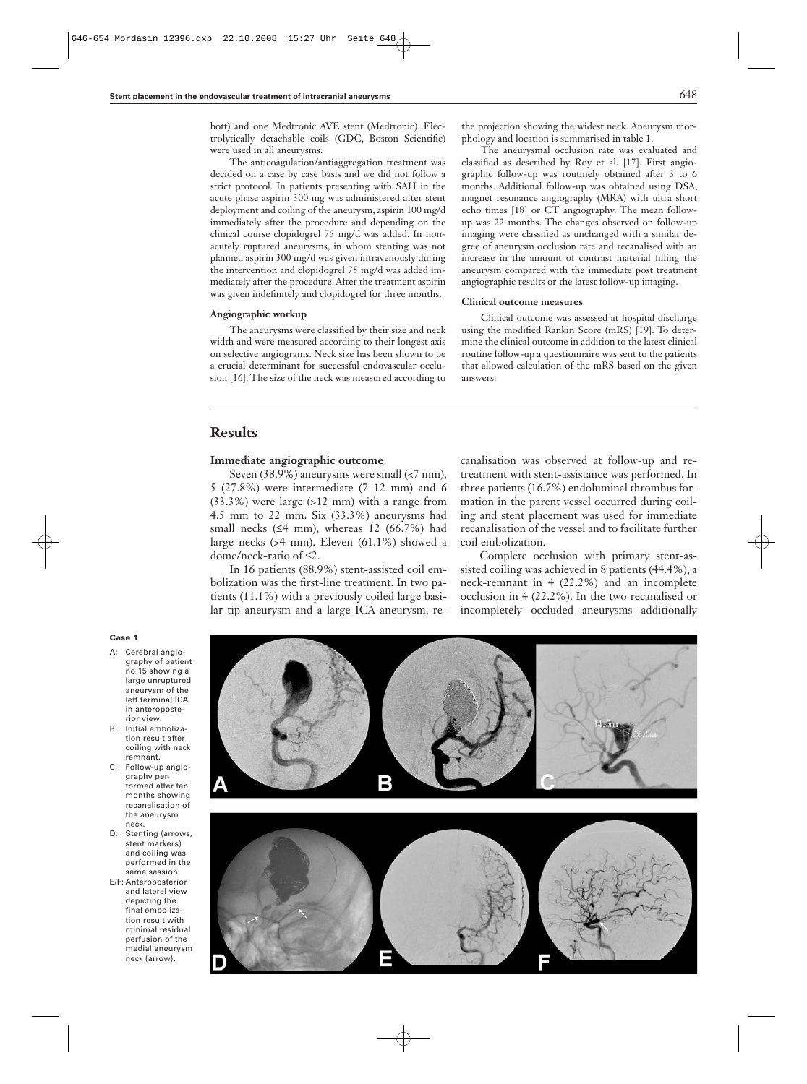bott) and one Medtronic AVE stent (Medtronic). Electrolytically detachable coils (GDC, Boston Scientific) were used in all aneurysms.

The anticoagulation/antiaggregation treatment was decided on a case by case basis and we did not follow a strict protocol. In patients presenting with SAH in the acute phase aspirin 300 mg was administered after stent deployment and coiling of the aneurysm, aspirin 100 mg/d immediately after the procedure and depending on the clinical course clopidogrel 75 mg/d was added. In nonacutely ruptured aneurysms, in whom stenting was not planned aspirin 300 mg/d was given intravenously during the intervention and clopidogrel 75 mg/d was added immediately after the procedure. After the treatment aspirin was given indefinitely and clopidogrel for three months.

## **Angiographic workup**

The aneurysms were classified by their size and neck width and were measured according to their longest axis on selective angiograms. Neck size has been shown to be a crucial determinant for successful endovascular occlusion [16]. The size of the neck was measured according to

the projection showing the widest neck. Aneurysm morphology and location is summarised in table 1.

The aneurysmal occlusion rate was evaluated and classified as described by Roy et al. [17]. First angiographic follow-up was routinely obtained after 3 to 6 months. Additional follow-up was obtained using DSA, magnet resonance angiography (MRA) with ultra short echo times [18] or CT angiography. The mean followup was 22 months. The changes observed on follow-up imaging were classified as unchanged with a similar degree of aneurysm occlusion rate and recanalised with an increase in the amount of contrast material filling the aneurysm compared with the immediate post treatment angiographic results or the latest follow-up imaging.

## **Clinical outcome measures**

Clinical outcome was assessed at hospital discharge using the modified Rankin Score (mRS) [19]. To determine the clinical outcome in addition to the latest clinical routine follow-up a questionnaire was sent to the patients that allowed calculation of the mRS based on the given answers.

# **Results**

#### **Immediate angiographic outcome**

Seven (38.9%) aneurysms were small (<7 mm), 5 (27.8%) were intermediate (7–12 mm) and 6 (33.3%) were large (>12 mm) with a range from 4.5 mm to 22 mm. Six (33.3%) aneurysms had small necks  $(54 \text{ mm})$ , whereas 12  $(66.7\%)$  had large necks (>4 mm). Eleven (61.1%) showed a dome/neck-ratio of  $\leq 2$ .

In 16 patients (88.9%) stent-assisted coil embolization was the first-line treatment. In two patients (11.1%) with a previously coiled large basilar tip aneurysm and a large ICA aneurysm, recanalisation was observed at follow-up and retreatment with stent-assistance was performed. In three patients (16.7%) endoluminal thrombus formation in the parent vessel occurred during coiling and stent placement was used for immediate recanalisation of the vessel and to facilitate further coil embolization.

Complete occlusion with primary stent-assisted coiling was achieved in 8 patients (44.4%), a neck-remnant in 4 (22.2%) and an incomplete occlusion in 4 (22.2%). In the two recanalised or incompletely occluded aneurysms additionally

#### **Case 1**

- A: Cerebral angiography of patient no 15 showing a large unruptured aneurysm of the left terminal ICA in anteroposterior view.
- B: Initial embolization result after coiling with neck remnant.
- C: Follow-up angiography performed after ten months showing recanalisation of the aneurysm neck.
- D: Stenting (arrows, stent markers) and coiling was performed in the same session.
- E/F: Anteroposterior and lateral view depicting the final embolization result with minimal residual perfusion of the medial aneurysm neck (arrow).

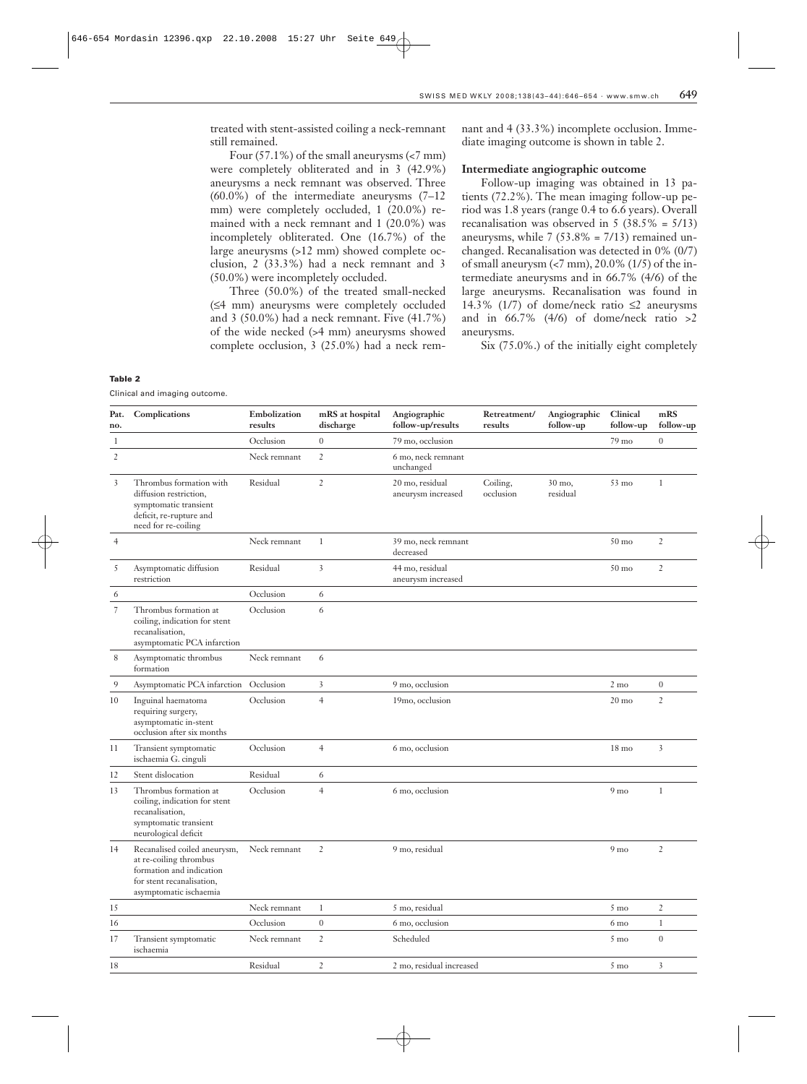treated with stent-assisted coiling a neck-remnant still remained.

Four  $(57.1\%)$  of the small aneurysms  $(<7$  mm) were completely obliterated and in 3 (42.9%) aneurysms a neck remnant was observed. Three (60.0%) of the intermediate aneurysms (7–12 mm) were completely occluded, 1 (20.0%) remained with a neck remnant and 1 (20.0%) was incompletely obliterated. One (16.7%) of the large aneurysms (>12 mm) showed complete occlusion, 2 (33.3%) had a neck remnant and 3 (50.0%) were incompletely occluded.

Three (50.0%) of the treated small-necked  $(54 \text{ mm})$  aneurysms were completely occluded and 3 (50.0%) had a neck remnant. Five (41.7%) of the wide necked (>4 mm) aneurysms showed complete occlusion, 3 (25.0%) had a neck remnant and 4 (33.3%) incomplete occlusion. Immediate imaging outcome is shown in table 2.

# **Intermediate angiographic outcome**

Follow-up imaging was obtained in 13 patients (72.2%). The mean imaging follow-up period was 1.8 years (range 0.4 to 6.6 years). Overall recanalisation was observed in  $5$  (38.5% =  $5/13$ ) aneurysms, while  $7 (53.8\% = 7/13)$  remained unchanged. Recanalisation was detected in 0% (0/7) of small aneurysm (<7 mm), 20.0% (1/5) of the intermediate aneurysms and in 66.7% (4/6) of the large aneurysms. Recanalisation was found in 14.3% (1/7) of dome/neck ratio  $\leq$  aneurysms and in  $66.7\%$  (4/6) of dome/neck ratio  $>2$ aneurysms.

Six (75.0%.) of the initially eight completely

#### **Table 2**

Clinical and imaging outcome.

| Occlusion<br>$\boldsymbol{0}$<br>79 mo, occlusion<br>79 mo<br>1<br>$\overline{2}$<br>$\overline{2}$<br>Neck remnant<br>6 mo, neck remnant<br>unchanged<br>$\overline{2}$<br>Thrombus formation with<br>Residual<br>20 mo, residual<br>3<br>Coiling,<br>30 mo,<br>$53 \text{ mo}$<br>diffusion restriction,<br>aneurysm increased<br>occlusion<br>residual<br>symptomatic transient<br>deficit, re-rupture and<br>need for re-coiling<br>Neck remnant<br>$\mathbf{1}$<br>39 mo, neck remnant<br>$50 \text{ mo}$<br>$\overline{4}$<br>decreased<br>Residual<br>$\overline{3}$<br>Asymptomatic diffusion<br>44 mo, residual<br>$50 \text{ mo}$<br>5<br>aneurysm increased<br>restriction<br>Occlusion<br>6<br>6<br>$\overline{7}$<br>Thrombus formation at<br>Occlusion<br>6<br>coiling, indication for stent<br>recanalisation,<br>asymptomatic PCA infarction<br>8<br>Asymptomatic thrombus<br>Neck remnant<br>6<br>formation<br>Occlusion<br>$\overline{3}$<br>9<br>Asymptomatic PCA infarction<br>9 mo, occlusion<br>$2 \text{ mo}$<br>$\overline{4}$<br>Inguinal haematoma<br>$20 \text{ mo}$<br>10<br>Occlusion<br>19mo, occlusion<br>requiring surgery,<br>asymptomatic in-stent<br>occlusion after six months<br>Occlusion<br>$\overline{4}$<br>Transient symptomatic<br>6 mo, occlusion<br>$18 \text{ mo}$<br>11<br>ischaemia G. cinguli | $\boldsymbol{0}$<br>$\mathbf{1}$<br>$\overline{2}$ |
|------------------------------------------------------------------------------------------------------------------------------------------------------------------------------------------------------------------------------------------------------------------------------------------------------------------------------------------------------------------------------------------------------------------------------------------------------------------------------------------------------------------------------------------------------------------------------------------------------------------------------------------------------------------------------------------------------------------------------------------------------------------------------------------------------------------------------------------------------------------------------------------------------------------------------------------------------------------------------------------------------------------------------------------------------------------------------------------------------------------------------------------------------------------------------------------------------------------------------------------------------------------------------------------------------------------------------------------------|----------------------------------------------------|
|                                                                                                                                                                                                                                                                                                                                                                                                                                                                                                                                                                                                                                                                                                                                                                                                                                                                                                                                                                                                                                                                                                                                                                                                                                                                                                                                                |                                                    |
|                                                                                                                                                                                                                                                                                                                                                                                                                                                                                                                                                                                                                                                                                                                                                                                                                                                                                                                                                                                                                                                                                                                                                                                                                                                                                                                                                |                                                    |
|                                                                                                                                                                                                                                                                                                                                                                                                                                                                                                                                                                                                                                                                                                                                                                                                                                                                                                                                                                                                                                                                                                                                                                                                                                                                                                                                                |                                                    |
|                                                                                                                                                                                                                                                                                                                                                                                                                                                                                                                                                                                                                                                                                                                                                                                                                                                                                                                                                                                                                                                                                                                                                                                                                                                                                                                                                |                                                    |
|                                                                                                                                                                                                                                                                                                                                                                                                                                                                                                                                                                                                                                                                                                                                                                                                                                                                                                                                                                                                                                                                                                                                                                                                                                                                                                                                                | $\overline{2}$                                     |
|                                                                                                                                                                                                                                                                                                                                                                                                                                                                                                                                                                                                                                                                                                                                                                                                                                                                                                                                                                                                                                                                                                                                                                                                                                                                                                                                                |                                                    |
|                                                                                                                                                                                                                                                                                                                                                                                                                                                                                                                                                                                                                                                                                                                                                                                                                                                                                                                                                                                                                                                                                                                                                                                                                                                                                                                                                |                                                    |
|                                                                                                                                                                                                                                                                                                                                                                                                                                                                                                                                                                                                                                                                                                                                                                                                                                                                                                                                                                                                                                                                                                                                                                                                                                                                                                                                                |                                                    |
|                                                                                                                                                                                                                                                                                                                                                                                                                                                                                                                                                                                                                                                                                                                                                                                                                                                                                                                                                                                                                                                                                                                                                                                                                                                                                                                                                | $\overline{0}$                                     |
|                                                                                                                                                                                                                                                                                                                                                                                                                                                                                                                                                                                                                                                                                                                                                                                                                                                                                                                                                                                                                                                                                                                                                                                                                                                                                                                                                | $\overline{2}$                                     |
|                                                                                                                                                                                                                                                                                                                                                                                                                                                                                                                                                                                                                                                                                                                                                                                                                                                                                                                                                                                                                                                                                                                                                                                                                                                                                                                                                | 3                                                  |
| Stent dislocation<br>Residual<br>6<br>12                                                                                                                                                                                                                                                                                                                                                                                                                                                                                                                                                                                                                                                                                                                                                                                                                                                                                                                                                                                                                                                                                                                                                                                                                                                                                                       |                                                    |
| $\overline{4}$<br>13<br>Thrombus formation at<br>Occlusion<br>9 <sub>mo</sub><br>6 mo, occlusion<br>coiling, indication for stent<br>recanalisation,<br>symptomatic transient<br>neurological deficit                                                                                                                                                                                                                                                                                                                                                                                                                                                                                                                                                                                                                                                                                                                                                                                                                                                                                                                                                                                                                                                                                                                                          | $\mathbf{1}$                                       |
| Recanalised coiled aneurysm,<br>Neck remnant<br>$\overline{2}$<br>14<br>9 mo, residual<br>9 <sub>mo</sub><br>at re-coiling thrombus<br>formation and indication<br>for stent recanalisation,<br>asymptomatic ischaemia                                                                                                                                                                                                                                                                                                                                                                                                                                                                                                                                                                                                                                                                                                                                                                                                                                                                                                                                                                                                                                                                                                                         | $\overline{2}$                                     |
| Neck remnant<br>$\,1$<br>5 mo, residual<br>15<br>$5 \text{ mo}$                                                                                                                                                                                                                                                                                                                                                                                                                                                                                                                                                                                                                                                                                                                                                                                                                                                                                                                                                                                                                                                                                                                                                                                                                                                                                | $\overline{2}$                                     |
| $\boldsymbol{0}$<br>Occlusion<br>6 mo, occlusion<br>16<br>6 <sub>mo</sub>                                                                                                                                                                                                                                                                                                                                                                                                                                                                                                                                                                                                                                                                                                                                                                                                                                                                                                                                                                                                                                                                                                                                                                                                                                                                      | $\mathbf{1}$                                       |
| Transient symptomatic<br>Neck remnant<br>$\overline{2}$<br>Scheduled<br>$5 \text{ mo}$<br>17<br>ischaemia                                                                                                                                                                                                                                                                                                                                                                                                                                                                                                                                                                                                                                                                                                                                                                                                                                                                                                                                                                                                                                                                                                                                                                                                                                      | $\overline{0}$                                     |
| $\overline{2}$<br>Residual<br>18<br>2 mo, residual increased<br>$5 \text{ mo}$                                                                                                                                                                                                                                                                                                                                                                                                                                                                                                                                                                                                                                                                                                                                                                                                                                                                                                                                                                                                                                                                                                                                                                                                                                                                 | $\overline{3}$                                     |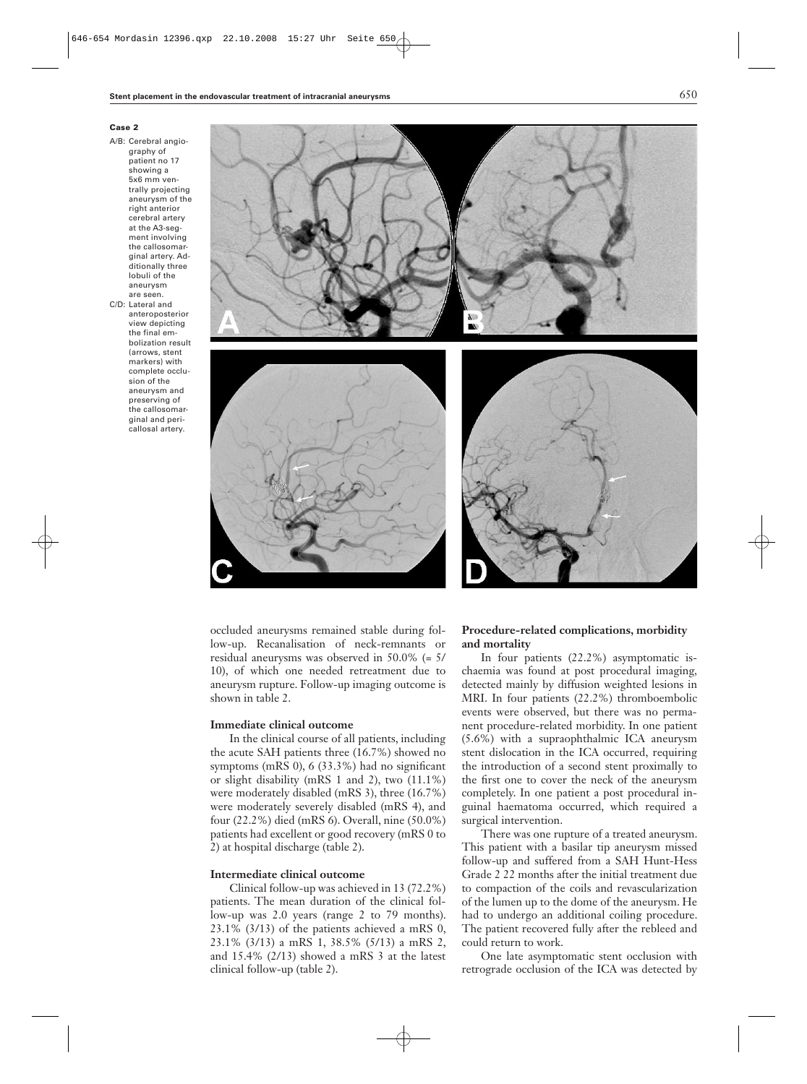## **Case 2**

A/B: Cerebral angiography of patient no 17 showing a 5x6 mm ventrally projecting aneurysm of the right anterior cerebral artery at the A3-segment involving the callosomarginal artery. Additionally three lobuli of the aneurysm are seen.

C/D: Lateral and anteroposterior view depicting the final embolization result (arrows, stent markers) with complete occlusion of the aneurysm and preserving of the callosomarginal and pericallosal artery.



occluded aneurysms remained stable during follow-up. Recanalisation of neck-remnants or residual aneurysms was observed in 50.0% (= 5/ 10), of which one needed retreatment due to aneurysm rupture. Follow-up imaging outcome is shown in table 2.

# **Immediate clinical outcome**

In the clinical course of all patients, including the acute SAH patients three (16.7%) showed no symptoms (mRS 0), 6 (33.3%) had no significant or slight disability (mRS 1 and 2), two (11.1%) were moderately disabled (mRS 3), three (16.7%) were moderately severely disabled (mRS 4), and four (22.2%) died (mRS 6). Overall, nine (50.0%) patients had excellent or good recovery (mRS 0 to 2) at hospital discharge (table 2).

# **Intermediate clinical outcome**

Clinical follow-up was achieved in 13 (72.2%) patients. The mean duration of the clinical follow-up was 2.0 years (range 2 to 79 months). 23.1% (3/13) of the patients achieved a mRS 0, 23.1% (3/13) a mRS 1, 38.5% (5/13) a mRS 2, and 15.4% (2/13) showed a mRS 3 at the latest clinical follow-up (table 2).

# **Procedure-related complications, morbidity and mortality**

In four patients (22.2%) asymptomatic ischaemia was found at post procedural imaging*,* detected mainly by diffusion weighted lesions in MRI. In four patients (22.2%) thromboembolic events were observed, but there was no permanent procedure-related morbidity. In one patient (5.6%) with a supraophthalmic ICA aneurysm stent dislocation in the ICA occurred, requiring the introduction of a second stent proximally to the first one to cover the neck of the aneurysm completely. In one patient a post procedural inguinal haematoma occurred, which required a surgical intervention.

There was one rupture of a treated aneurysm. This patient with a basilar tip aneurysm missed follow-up and suffered from a SAH Hunt-Hess Grade 2 22 months after the initial treatment due to compaction of the coils and revascularization of the lumen up to the dome of the aneurysm. He had to undergo an additional coiling procedure. The patient recovered fully after the rebleed and could return to work.

One late asymptomatic stent occlusion with retrograde occlusion of the ICA was detected by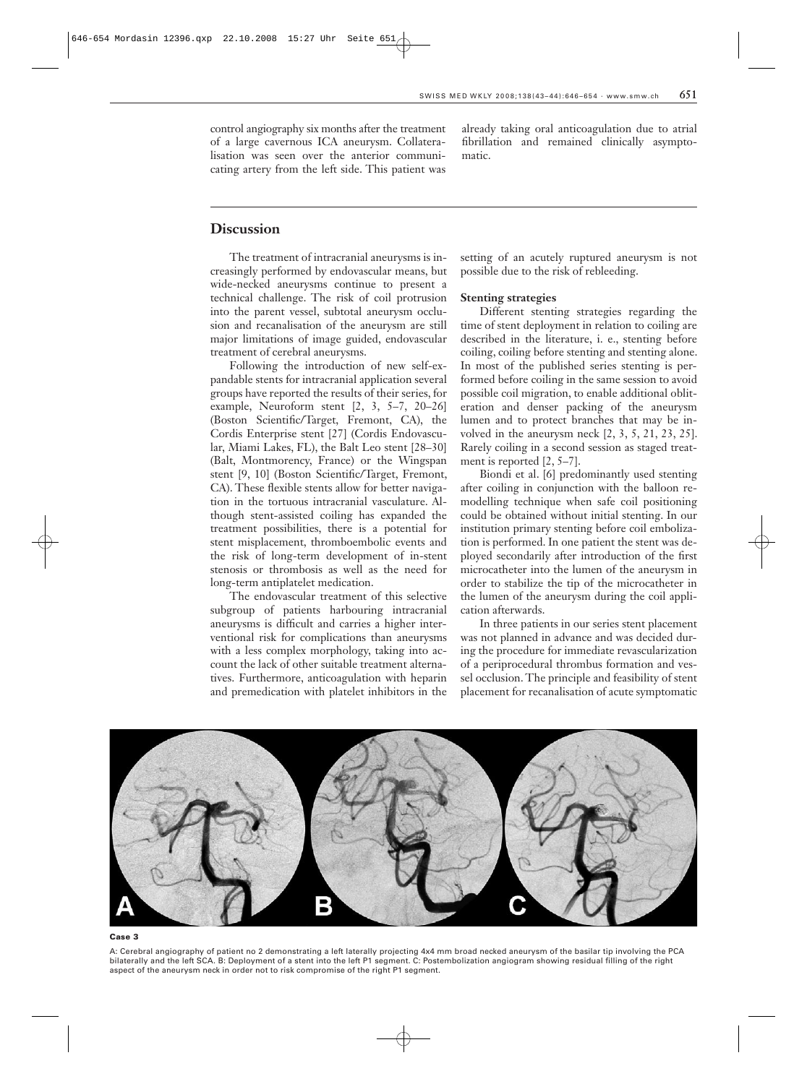control angiography six months after the treatment of a large cavernous ICA aneurysm. Collateralisation was seen over the anterior communicating artery from the left side. This patient was

already taking oral anticoagulation due to atrial fibrillation and remained clinically asymptomatic.

# **Discussion**

The treatment of intracranial aneurysms is increasingly performed by endovascular means, but wide-necked aneurysms continue to present a technical challenge. The risk of coil protrusion into the parent vessel, subtotal aneurysm occlusion and recanalisation of the aneurysm are still major limitations of image guided, endovascular treatment of cerebral aneurysms.

Following the introduction of new self-expandable stents for intracranial application several groups have reported the results of their series, for example, Neuroform stent [2, 3, 5–7, 20–26] (Boston Scientific/Target, Fremont, CA), the Cordis Enterprise stent [27] (Cordis Endovascular, Miami Lakes, FL), the Balt Leo stent [28–30] (Balt, Montmorency, France) or the Wingspan stent [9, 10] (Boston Scientific/Target, Fremont, CA). These flexible stents allow for better navigation in the tortuous intracranial vasculature. Although stent-assisted coiling has expanded the treatment possibilities, there is a potential for stent misplacement, thromboembolic events and the risk of long-term development of in-stent stenosis or thrombosis as well as the need for long-term antiplatelet medication.

The endovascular treatment of this selective subgroup of patients harbouring intracranial aneurysms is difficult and carries a higher interventional risk for complications than aneurysms with a less complex morphology, taking into account the lack of other suitable treatment alternatives. Furthermore, anticoagulation with heparin and premedication with platelet inhibitors in the setting of an acutely ruptured aneurysm is not possible due to the risk of rebleeding.

# **Stenting strategies**

Different stenting strategies regarding the time of stent deployment in relation to coiling are described in the literature, i. e., stenting before coiling, coiling before stenting and stenting alone. In most of the published series stenting is performed before coiling in the same session to avoid possible coil migration, to enable additional obliteration and denser packing of the aneurysm lumen and to protect branches that may be involved in the aneurysm neck [2, 3, 5, 21, 23, 25]. Rarely coiling in a second session as staged treatment is reported [2, 5–7].

Biondi et al. [6] predominantly used stenting after coiling in conjunction with the balloon remodelling technique when safe coil positioning could be obtained without initial stenting. In our institution primary stenting before coil embolization is performed. In one patient the stent was deployed secondarily after introduction of the first microcatheter into the lumen of the aneurysm in order to stabilize the tip of the microcatheter in the lumen of the aneurysm during the coil application afterwards.

In three patients in our series stent placement was not planned in advance and was decided during the procedure for immediate revascularization of a periprocedural thrombus formation and vessel occlusion. The principle and feasibility of stent placement for recanalisation of acute symptomatic



#### **Case 3**

A: Cerebral angiography of patient no 2 demonstrating a left laterally projecting 4x4 mm broad necked aneurysm of the basilar tip involving the PCA bilaterally and the left SCA. B: Deployment of a stent into the left P1 segment. C: Postembolization angiogram showing residual filling of the right aspect of the aneurysm neck in order not to risk compromise of the right P1 segment.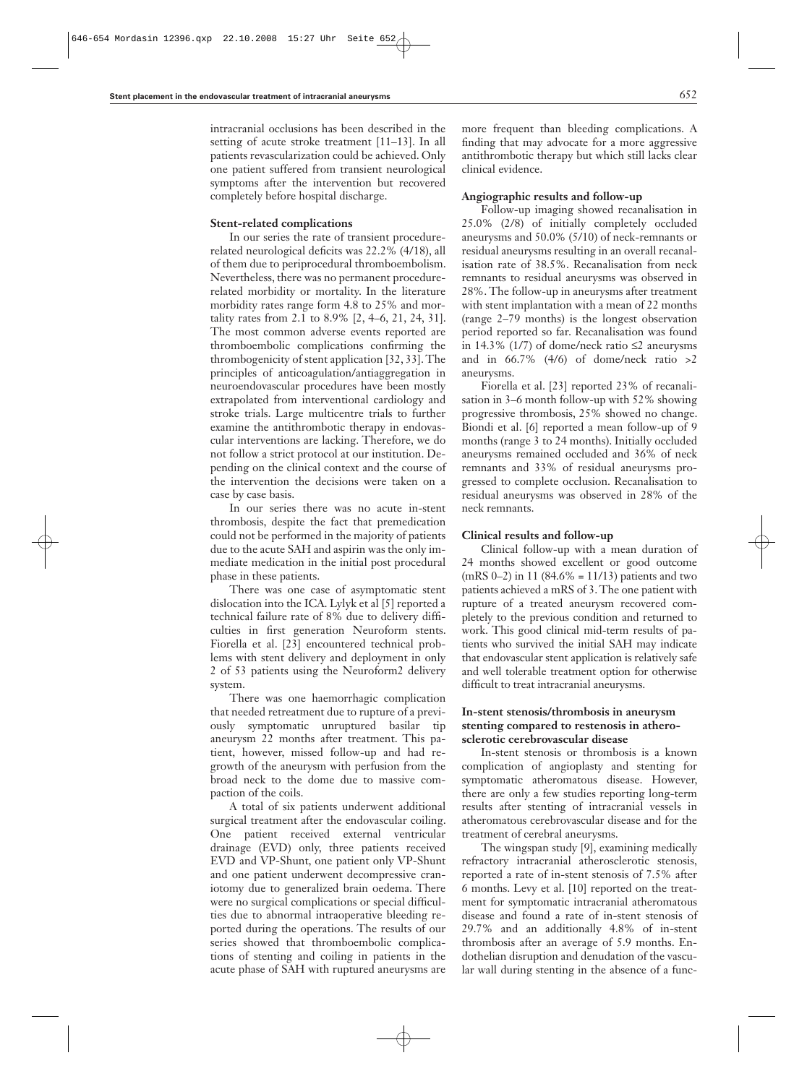intracranial occlusions has been described in the setting of acute stroke treatment [11–13]. In all patients revascularization could be achieved. Only one patient suffered from transient neurological symptoms after the intervention but recovered completely before hospital discharge.

## **Stent-related complications**

In our series the rate of transient procedurerelated neurological deficits was 22.2% (4/18), all of them due to periprocedural thromboembolism. Nevertheless, there was no permanent procedurerelated morbidity or mortality. In the literature morbidity rates range form 4.8 to 25% and mortality rates from 2.1 to 8.9% [2, 4–6, 21, 24, 31]. The most common adverse events reported are thromboembolic complications confirming the thrombogenicity of stent application [32, 33]. The principles of anticoagulation/antiaggregation in neuroendovascular procedures have been mostly extrapolated from interventional cardiology and stroke trials. Large multicentre trials to further examine the antithrombotic therapy in endovascular interventions are lacking. Therefore, we do not follow a strict protocol at our institution. Depending on the clinical context and the course of the intervention the decisions were taken on a case by case basis.

In our series there was no acute in-stent thrombosis, despite the fact that premedication could not be performed in the majority of patients due to the acute SAH and aspirin was the only immediate medication in the initial post procedural phase in these patients.

There was one case of asymptomatic stent dislocation into the ICA. Lylyk et al [5] reported a technical failure rate of 8% due to delivery difficulties in first generation Neuroform stents. Fiorella et al. [23] encountered technical problems with stent delivery and deployment in only 2 of 53 patients using the Neuroform2 delivery system.

There was one haemorrhagic complication that needed retreatment due to rupture of a previously symptomatic unruptured basilar tip aneurysm 22 months after treatment. This patient, however, missed follow-up and had regrowth of the aneurysm with perfusion from the broad neck to the dome due to massive compaction of the coils.

A total of six patients underwent additional surgical treatment after the endovascular coiling. One patient received external ventricular drainage (EVD) only, three patients received EVD and VP-Shunt, one patient only VP-Shunt and one patient underwent decompressive craniotomy due to generalized brain oedema. There were no surgical complications or special difficulties due to abnormal intraoperative bleeding reported during the operations. The results of our series showed that thromboembolic complications of stenting and coiling in patients in the acute phase of SAH with ruptured aneurysms are

more frequent than bleeding complications. A finding that may advocate for a more aggressive antithrombotic therapy but which still lacks clear clinical evidence.

## **Angiographic results and follow-up**

Follow-up imaging showed recanalisation in 25.0% (2/8) of initially completely occluded aneurysms and 50.0% (5/10) of neck-remnants or residual aneurysms resulting in an overall recanalisation rate of 38.5%. Recanalisation from neck remnants to residual aneurysms was observed in 28%. The follow-up in aneurysms after treatment with stent implantation with a mean of 22 months (range 2–79 months) is the longest observation period reported so far. Recanalisation was found in 14.3% (1/7) of dome/neck ratio  $\leq$  aneurysms and in  $66.7\%$  (4/6) of dome/neck ratio >2 aneurysms.

Fiorella et al. [23] reported 23% of recanalisation in 3–6 month follow-up with 52% showing progressive thrombosis, 25% showed no change. Biondi et al. [6] reported a mean follow-up of 9 months (range 3 to 24 months). Initially occluded aneurysms remained occluded and 36% of neck remnants and 33% of residual aneurysms progressed to complete occlusion. Recanalisation to residual aneurysms was observed in 28% of the neck remnants.

## **Clinical results and follow-up**

Clinical follow-up with a mean duration of 24 months showed excellent or good outcome  $(mRS 0-2)$  in 11 (84.6% = 11/13) patients and two patients achieved a mRS of 3. The one patient with rupture of a treated aneurysm recovered completely to the previous condition and returned to work. This good clinical mid-term results of patients who survived the initial SAH may indicate that endovascular stent application is relatively safe and well tolerable treatment option for otherwise difficult to treat intracranial aneurysms.

# **In-stent stenosis/thrombosis in aneurysm stenting compared to restenosis in atherosclerotic cerebrovascular disease**

In-stent stenosis or thrombosis is a known complication of angioplasty and stenting for symptomatic atheromatous disease. However, there are only a few studies reporting long-term results after stenting of intracranial vessels in atheromatous cerebrovascular disease and for the treatment of cerebral aneurysms.

The wingspan study [9], examining medically refractory intracranial atherosclerotic stenosis, reported a rate of in-stent stenosis of 7.5% after 6 months. Levy et al. [10] reported on the treatment for symptomatic intracranial atheromatous disease and found a rate of in-stent stenosis of 29.7% and an additionally 4.8% of in-stent thrombosis after an average of 5.9 months. Endothelian disruption and denudation of the vascular wall during stenting in the absence of a func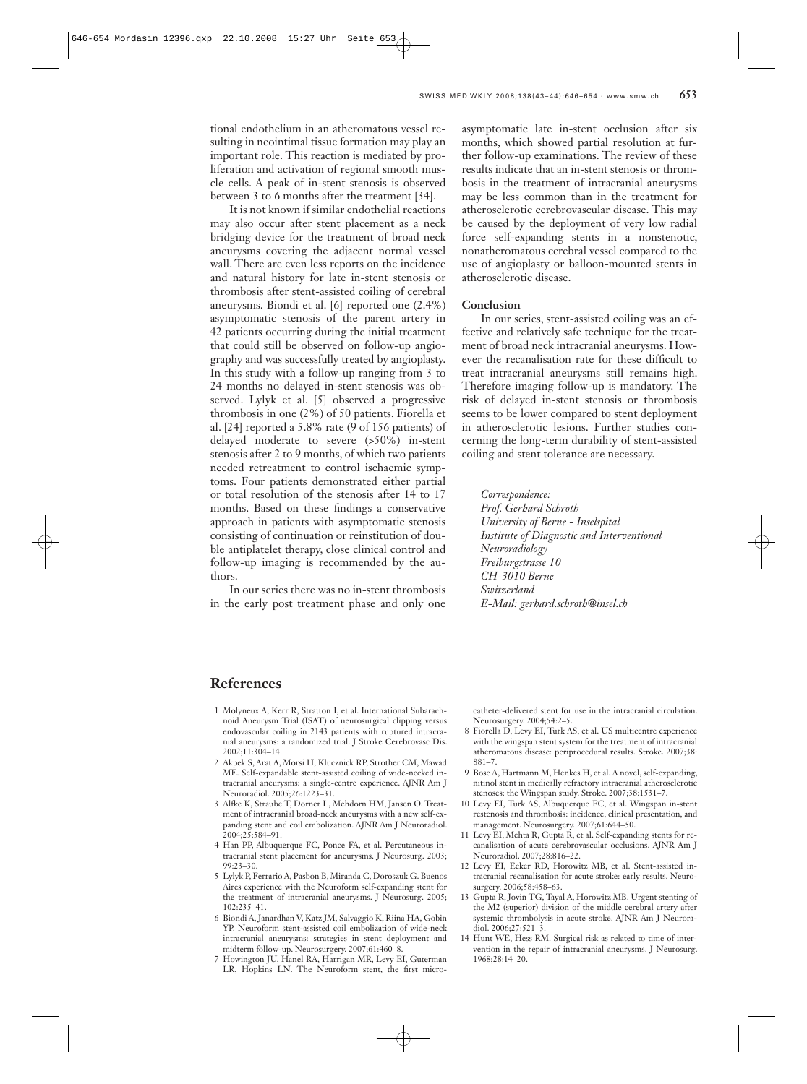tional endothelium in an atheromatous vessel resulting in neointimal tissue formation may play an important role. This reaction is mediated by proliferation and activation of regional smooth muscle cells. A peak of in-stent stenosis is observed between 3 to 6 months after the treatment [34].

It is not known if similar endothelial reactions may also occur after stent placement as a neck bridging device for the treatment of broad neck aneurysms covering the adjacent normal vessel wall. There are even less reports on the incidence and natural history for late in-stent stenosis or thrombosis after stent-assisted coiling of cerebral aneurysms. Biondi et al. [6] reported one (2.4%) asymptomatic stenosis of the parent artery in 42 patients occurring during the initial treatment that could still be observed on follow-up angiography and was successfully treated by angioplasty. In this study with a follow-up ranging from 3 to 24 months no delayed in-stent stenosis was observed. Lylyk et al. [5] observed a progressive thrombosis in one (2%) of 50 patients. Fiorella et al. [24] reported a 5.8% rate (9 of 156 patients) of delayed moderate to severe (>50%) in-stent stenosis after 2 to 9 months, of which two patients needed retreatment to control ischaemic symptoms. Four patients demonstrated either partial or total resolution of the stenosis after 14 to 17 months. Based on these findings a conservative approach in patients with asymptomatic stenosis consisting of continuation or reinstitution of double antiplatelet therapy, close clinical control and follow-up imaging is recommended by the authors.

In our series there was no in-stent thrombosis in the early post treatment phase and only one

asymptomatic late in-stent occlusion after six months, which showed partial resolution at further follow-up examinations. The review of these results indicate that an in-stent stenosis or thrombosis in the treatment of intracranial aneurysms may be less common than in the treatment for atherosclerotic cerebrovascular disease. This may be caused by the deployment of very low radial force self-expanding stents in a nonstenotic, nonatheromatous cerebral vessel compared to the use of angioplasty or balloon-mounted stents in atherosclerotic disease.

## **Conclusion**

In our series, stent-assisted coiling was an effective and relatively safe technique for the treatment of broad neck intracranial aneurysms. However the recanalisation rate for these difficult to treat intracranial aneurysms still remains high. Therefore imaging follow-up is mandatory. The risk of delayed in-stent stenosis or thrombosis seems to be lower compared to stent deployment in atherosclerotic lesions. Further studies concerning the long-term durability of stent-assisted coiling and stent tolerance are necessary.

*Correspondence: Prof. Gerhard Schroth University of Berne - Inselspital Institute of Diagnostic and Interventional Neuroradiology Freiburgstrasse 10 CH-3010 Berne Switzerland E-Mail: gerhard.schroth@insel.ch*

# **References**

- 1 Molyneux A, Kerr R, Stratton I, et al. International Subarachnoid Aneurysm Trial (ISAT) of neurosurgical clipping versus endovascular coiling in 2143 patients with ruptured intracranial aneurysms: a randomized trial. J Stroke Cerebrovasc Dis. 2002;11:304–14.
- 2 Akpek S, Arat A, Morsi H, Klucznick RP, Strother CM, Mawad ME. Self-expandable stent-assisted coiling of wide-necked intracranial aneurysms: a single-centre experience. AJNR Am J Neuroradiol. 2005;26:1223–31.
- 3 Alfke K, Straube T, Dorner L, Mehdorn HM, Jansen O. Treatment of intracranial broad-neck aneurysms with a new self-expanding stent and coil embolization. AJNR Am J Neuroradiol. 2004;25:584–91.
- 4 Han PP, Albuquerque FC, Ponce FA, et al. Percutaneous intracranial stent placement for aneurysms. J Neurosurg. 2003; 99:23–30.
- 5 Lylyk P, Ferrario A, Pasbon B, Miranda C, Doroszuk G. Buenos Aires experience with the Neuroform self-expanding stent for the treatment of intracranial aneurysms. J Neurosurg. 2005; 102:235–41.
- 6 Biondi A, Janardhan V, Katz JM, Salvaggio K, Riina HA, Gobin YP. Neuroform stent-assisted coil embolization of wide-neck intracranial aneurysms: strategies in stent deployment and midterm follow-up. Neurosurgery. 2007;61:460–8.
- 7 Howington JU, Hanel RA, Harrigan MR, Levy EI, Guterman LR, Hopkins LN. The Neuroform stent, the first micro-

catheter-delivered stent for use in the intracranial circulation. Neurosurgery. 2004;54:2–5.

- 8 Fiorella D, Levy EI, Turk AS, et al. US multicentre experience with the wingspan stent system for the treatment of intracranial atheromatous disease: periprocedural results. Stroke. 2007;38: 881–7.
- 9 Bose A, Hartmann M, Henkes H, et al. A novel, self-expanding, nitinol stent in medically refractory intracranial atherosclerotic stenoses: the Wingspan study. Stroke. 2007;38:1531–7.
- 10 Levy EI, Turk AS, Albuquerque FC, et al. Wingspan in-stent restenosis and thrombosis: incidence, clinical presentation, and management. Neurosurgery. 2007;61:644–50.
- 11 Levy EI, Mehta R, Gupta R, et al. Self-expanding stents for recanalisation of acute cerebrovascular occlusions. AJNR Am J Neuroradiol. 2007;28:816–22.
- 12 Levy EI, Ecker RD, Horowitz MB, et al. Stent-assisted intracranial recanalisation for acute stroke: early results. Neurosurgery. 2006;58:458-63.
- 13 Gupta R, Jovin TG, Tayal A, Horowitz MB. Urgent stenting of the M2 (superior) division of the middle cerebral artery after systemic thrombolysis in acute stroke. AJNR Am J Neuroradiol. 2006;27:521–3.
- 14 Hunt WE, Hess RM. Surgical risk as related to time of intervention in the repair of intracranial aneurysms. J Neurosurg. 1968;28:14–20.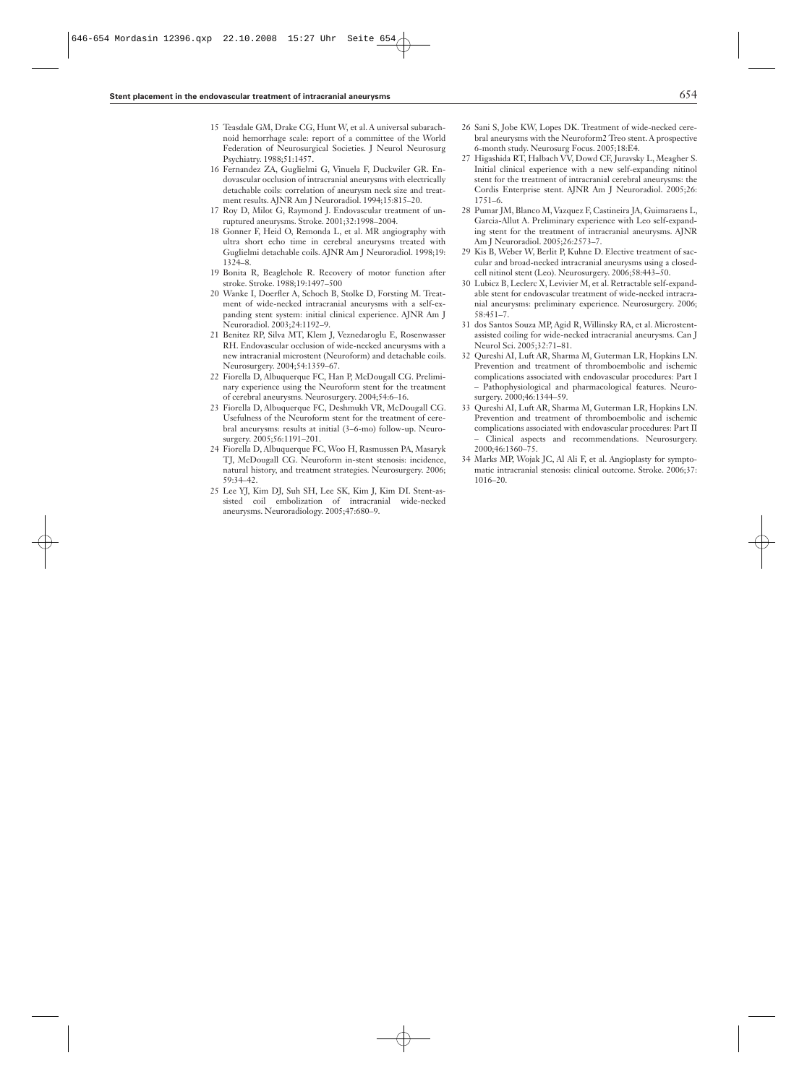- 15 Teasdale GM, Drake CG, Hunt W, et al. A universal subarachnoid hemorrhage scale: report of a committee of the World Federation of Neurosurgical Societies. J Neurol Neurosurg Psychiatry. 1988;51:1457.
- 16 Fernandez ZA, Guglielmi G, Vinuela F, Duckwiler GR. Endovascular occlusion of intracranial aneurysms with electrically detachable coils: correlation of aneurysm neck size and treatment results. AJNR Am J Neuroradiol. 1994;15:815–20.
- 17 Roy D, Milot G, Raymond J. Endovascular treatment of unruptured aneurysms. Stroke. 2001;32:1998–2004.
- 18 Gonner F, Heid O, Remonda L, et al. MR angiography with ultra short echo time in cerebral aneurysms treated with Guglielmi detachable coils. AJNR Am J Neuroradiol. 1998;19: 1324–8.
- 19 Bonita R, Beaglehole R. Recovery of motor function after stroke. Stroke. 1988;19:1497–500
- 20 Wanke I, Doerfler A, Schoch B, Stolke D, Forsting M. Treatment of wide-necked intracranial aneurysms with a self-expanding stent system: initial clinical experience. AJNR Am J Neuroradiol. 2003;24:1192–9.
- 21 Benitez RP, Silva MT, Klem J, Veznedaroglu E, Rosenwasser RH. Endovascular occlusion of wide-necked aneurysms with a new intracranial microstent (Neuroform) and detachable coils. Neurosurgery. 2004;54:1359–67.
- 22 Fiorella D, Albuquerque FC, Han P, McDougall CG. Preliminary experience using the Neuroform stent for the treatment of cerebral aneurysms. Neurosurgery. 2004;54:6–16.
- 23 Fiorella D, Albuquerque FC, Deshmukh VR, McDougall CG. Usefulness of the Neuroform stent for the treatment of cerebral aneurysms: results at initial (3–6-mo) follow-up. Neurosurgery. 2005;56:1191–201.
- 24 Fiorella D, Albuquerque FC, Woo H, Rasmussen PA, Masaryk TJ, McDougall CG. Neuroform in-stent stenosis: incidence, natural history, and treatment strategies. Neurosurgery. 2006; 59:34–42.
- 25 Lee YJ, Kim DJ, Suh SH, Lee SK, Kim J, Kim DI. Stent-assisted coil embolization of intracranial wide-necked aneurysms. Neuroradiology. 2005;47:680–9.
- 26 Sani S, Jobe KW, Lopes DK. Treatment of wide-necked cerebral aneurysms with the Neuroform2 Treo stent. A prospective 6-month study. Neurosurg Focus. 2005;18:E4.
- 27 Higashida RT, Halbach VV, Dowd CF, Juravsky L, Meagher S. Initial clinical experience with a new self-expanding nitinol stent for the treatment of intracranial cerebral aneurysms: the Cordis Enterprise stent. AJNR Am J Neuroradiol. 2005;26: 1751–6.
- 28 Pumar JM, Blanco M, Vazquez F, Castineira JA, Guimaraens L, Garcia-Allut A. Preliminary experience with Leo self-expanding stent for the treatment of intracranial aneurysms. AJNR Am J Neuroradiol. 2005;26:2573–7.
- 29 Kis B, Weber W, Berlit P, Kuhne D. Elective treatment of saccular and broad-necked intracranial aneurysms using a closedcell nitinol stent (Leo). Neurosurgery. 2006;58:443–50.
- 30 Lubicz B, Leclerc X, Levivier M, et al. Retractable self-expandable stent for endovascular treatment of wide-necked intracranial aneurysms: preliminary experience. Neurosurgery. 2006; 58:451–7.
- 31 dos Santos Souza MP, Agid R, Willinsky RA, et al. Microstentassisted coiling for wide-necked intracranial aneurysms. Can J Neurol Sci. 2005;32:71–81.
- 32 Qureshi AI, Luft AR, Sharma M, Guterman LR, Hopkins LN. Prevention and treatment of thromboembolic and ischemic complications associated with endovascular procedures: Part I – Pathophysiological and pharmacological features. Neurosurgery. 2000;46:1344–59.
- 33 Qureshi AI, Luft AR, Sharma M, Guterman LR, Hopkins LN. Prevention and treatment of thromboembolic and ischemic complications associated with endovascular procedures: Part II – Clinical aspects and recommendations. Neurosurgery. 2000;46:1360–75.
- 34 Marks MP, Wojak JC, Al Ali F, et al. Angioplasty for symptomatic intracranial stenosis: clinical outcome. Stroke. 2006;37: 1016–20.